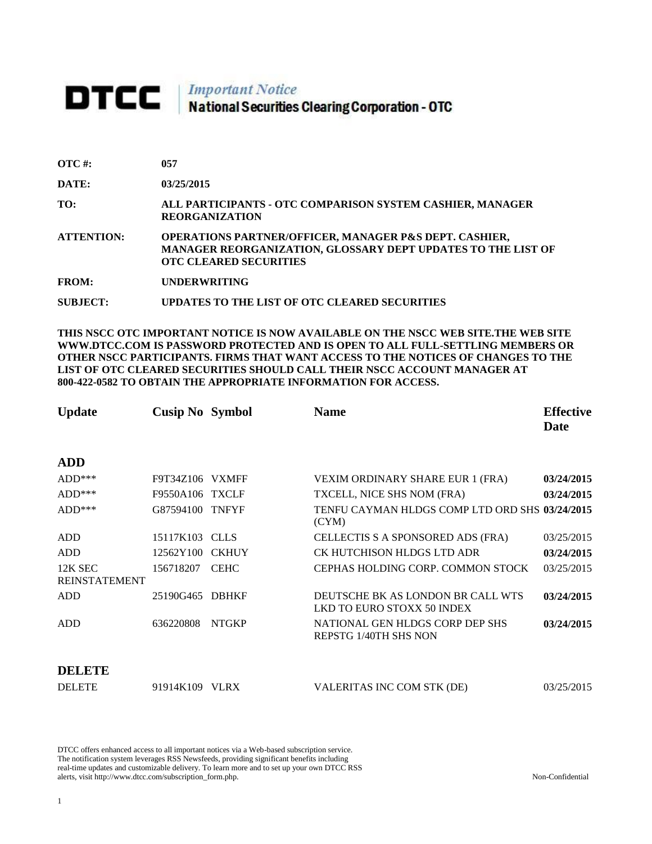## **DTCC** National Securities Clearing Corporation - OTC

| $\overline{OTC}$ #: | 057                                                                                                                                                                |
|---------------------|--------------------------------------------------------------------------------------------------------------------------------------------------------------------|
| DATE:               | 03/25/2015                                                                                                                                                         |
| TO:                 | ALL PARTICIPANTS - OTC COMPARISON SYSTEM CASHIER, MANAGER<br><b>REORGANIZATION</b>                                                                                 |
| <b>ATTENTION:</b>   | <b>OPERATIONS PARTNER/OFFICER, MANAGER P&amp;S DEPT. CASHIER,</b><br>MANAGER REORGANIZATION, GLOSSARY DEPT UPDATES TO THE LIST OF<br><b>OTC CLEARED SECURITIES</b> |
| <b>FROM:</b>        | <b>UNDERWRITING</b>                                                                                                                                                |
| SUBJECT:            | UPDATES TO THE LIST OF OTC CLEARED SECURITIES                                                                                                                      |

**THIS NSCC OTC IMPORTANT NOTICE IS NOW AVAILABLE ON THE NSCC WEB SITE.THE WEB SITE WWW.DTCC.COM IS PASSWORD PROTECTED AND IS OPEN TO ALL FULL-SETTLING MEMBERS OR OTHER NSCC PARTICIPANTS. FIRMS THAT WANT ACCESS TO THE NOTICES OF CHANGES TO THE LIST OF OTC CLEARED SECURITIES SHOULD CALL THEIR NSCC ACCOUNT MANAGER AT 800-422-0582 TO OBTAIN THE APPROPRIATE INFORMATION FOR ACCESS.** 

| <b>Update</b>                   | <b>Cusip No Symbol</b> |              | <b>Name</b>                                                            | <b>Effective</b><br>Date |
|---------------------------------|------------------------|--------------|------------------------------------------------------------------------|--------------------------|
| <b>ADD</b>                      |                        |              |                                                                        |                          |
| $ADD***$                        | F9T34Z106 VXMFF        |              | VEXIM ORDINARY SHARE EUR 1 (FRA)                                       | 03/24/2015               |
| $ADD***$                        | <b>F9550A106 TXCLF</b> |              | TXCELL, NICE SHS NOM (FRA)                                             | 03/24/2015               |
| $ADD***$                        | G87594100 TNFYF        |              | TENFU CAYMAN HLDGS COMP LTD ORD SHS 03/24/2015<br>(CYM)                |                          |
| <b>ADD</b>                      | 15117K103 CLLS         |              | CELLECTIS S A SPONSORED ADS (FRA)                                      | 03/25/2015               |
| <b>ADD</b>                      | 12562Y100              | <b>CKHUY</b> | CK HUTCHISON HLDGS LTD ADR                                             | 03/24/2015               |
| 12K SEC<br><b>REINSTATEMENT</b> | 156718207              | <b>CEHC</b>  | CEPHAS HOLDING CORP. COMMON STOCK                                      | 03/25/2015               |
| <b>ADD</b>                      | 25190G465              | <b>DBHKF</b> | DEUTSCHE BK AS LONDON BR CALL WTS<br><b>LKD TO EURO STOXX 50 INDEX</b> | 03/24/2015               |
| <b>ADD</b>                      | 636220808              | <b>NTGKP</b> | NATIONAL GEN HLDGS CORP DEP SHS<br><b>REPSTG 1/40TH SHS NON</b>        | 03/24/2015               |
| DELETE                          |                        |              |                                                                        |                          |
| <b>DELETE</b>                   | 91914K109              | <b>VLRX</b>  | VALERITAS INC COM STK (DE)                                             | 03/25/2015               |

DTCC offers enhanced access to all important notices via a Web-based subscription service. The notification system leverages RSS Newsfeeds, providing significant benefits including real-time updates and customizable delivery. To learn more and to set up your own DTCC RSS alerts, visit http://www.dtcc.com/subscription\_form.php. Non-Confidential